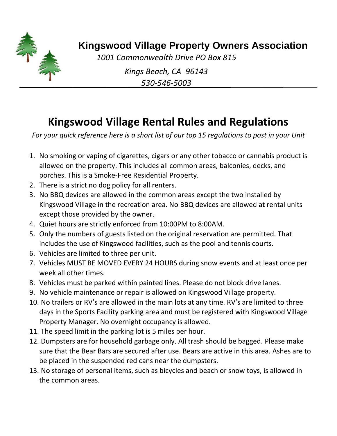

## **Kingswood Village Property Owners Association**

*1001 Commonwealth Drive PO Box 815*

*Kings Beach, CA 96143 530-546-5003*

## **Kingswood Village Rental Rules and Regulations**

*For your quick reference here is a short list of our top 15 regulations to post in your Unit*

- 1. No smoking or vaping of cigarettes, cigars or any other tobacco or cannabis product is allowed on the property. This includes all common areas, balconies, decks, and porches. This is a Smoke-Free Residential Property.
- 2. There is a strict no dog policy for all renters.
- 3. No BBQ devices are allowed in the common areas except the two installed by Kingswood Village in the recreation area. No BBQ devices are allowed at rental units except those provided by the owner.
- 4. Quiet hours are strictly enforced from 10:00PM to 8:00AM.
- 5. Only the numbers of guests listed on the original reservation are permitted. That includes the use of Kingswood facilities, such as the pool and tennis courts.
- 6. Vehicles are limited to three per unit.
- 7. Vehicles MUST BE MOVED EVERY 24 HOURS during snow events and at least once per week all other times.
- 8. Vehicles must be parked within painted lines. Please do not block drive lanes.
- 9. No vehicle maintenance or repair is allowed on Kingswood Village property.
- 10. No trailers or RV's are allowed in the main lots at any time. RV's are limited to three days in the Sports Facility parking area and must be registered with Kingswood Village Property Manager. No overnight occupancy is allowed.
- 11. The speed limit in the parking lot is 5 miles per hour.
- 12. Dumpsters are for household garbage only. All trash should be bagged. Please make sure that the Bear Bars are secured after use. Bears are active in this area. Ashes are to be placed in the suspended red cans near the dumpsters.
- 13. No storage of personal items, such as bicycles and beach or snow toys, is allowed in the common areas.